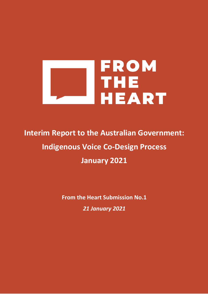

# **Interim Report to the Australian Government: Indigenous Voice Co-Design Process January 2021**

**From the Heart Submission No.1**

*21 January 2021*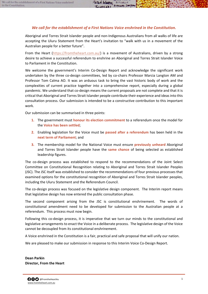TypoChk1

...

**BUTCHELLA** 

**RICHARD SMIPSO** 

Aboriginal and Torres Strait Islander people and non-Indigenous Australians from all walks of life are accepting the Uluru Statement from the Heart's invitation to "walk with us in a movement of the Australian people for a better future".

From the Heart [\(https://fromtheheart.com.au/\)](https://fromtheheart.com.au/) is a movement of Australians, driven by a strong desire to achieve a successful referendum to enshrine an Aboriginal and Torres Strait Islander Voice to Parliament in the Constitution.

We welcome the government's Interim Co-Design Report and acknowledge the significant work undertaken by the three co-design committees, led by co-chairs Professor Marcia Langton AM and Professor Tom Calma AO. It was an arduous task to bring the vast historic body of work and the complexities of current practice together into a comprehensive report, especially during a global pandemic. We understand that co-design means the current proposals are not complete and that it is critical that Aboriginal and Torres Strait Islander people contribute their experience and ideas into this consultation process. Our submission is intended to be a constructive contribution to this important work.

Our submission can be summarised in three points:

- **1.** The government must **honour its election commitment** to a referendum once the model for the **Voice has been settled**;
- **2.** Enabling legislation for the Voice must be **passed after a referendum** has been held in the **next term of Parliament**; and
- **3.** The membership model for the National Voice must ensure **previously unheard** Aboriginal and Torres Strait Islander people have the **same chance** of being selected as established leadership figures.

The co-design process was established to respond to the recommendations of the Joint Select Committee on Constitutional Recognition relating to Aboriginal and Torres Strait Islander Peoples (JSC). The JSC itself was established to consider the recommendations of four previous processes that examined options for the constitutional recognition of Aboriginal and Torres Strait Islander peoples, including the Uluru Statement and the Referendum Council.

The co-design process was focused on the legislative design component. The Interim report means that legislative design has now entered the public consultation phase.

The second component arising from the JSC is constitutional enshrinement. The words of constitutional amendment need to be developed for submission to the Australian people at a referendum. This process must now begin.

Following this co-design process, it is imperative that we turn our minds to the constitutional and legislative arrangements to enact the Voice in a deliberate process. The legislative design of the Voice cannot be decoupled from its constitutional enshrinement.

A Voice enshrined in the Constitution is a fair, practical and safe proposal that will unify our nation.

We are pleased to make our submission in response to this Interim Voice Co-Design Report.

**Dean Parkin Director, From the Heart**

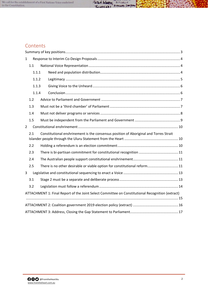

## **Contents**

| 1              |                                                                                                  |  |                                                                                       |  |  |  |  |  |  |
|----------------|--------------------------------------------------------------------------------------------------|--|---------------------------------------------------------------------------------------|--|--|--|--|--|--|
|                | 1.1                                                                                              |  |                                                                                       |  |  |  |  |  |  |
|                | 1.1.1<br>1.1.2<br>1.1.3                                                                          |  |                                                                                       |  |  |  |  |  |  |
|                |                                                                                                  |  |                                                                                       |  |  |  |  |  |  |
|                |                                                                                                  |  |                                                                                       |  |  |  |  |  |  |
|                | 1.1.4                                                                                            |  |                                                                                       |  |  |  |  |  |  |
|                | 1.2                                                                                              |  |                                                                                       |  |  |  |  |  |  |
|                | 1.3                                                                                              |  |                                                                                       |  |  |  |  |  |  |
|                | 1.4                                                                                              |  |                                                                                       |  |  |  |  |  |  |
|                | 1.5                                                                                              |  |                                                                                       |  |  |  |  |  |  |
| $\overline{2}$ |                                                                                                  |  |                                                                                       |  |  |  |  |  |  |
|                | 2.1                                                                                              |  | Constitutional enshrinement is the consensus position of Aboriginal and Torres Strait |  |  |  |  |  |  |
|                | 2.2                                                                                              |  |                                                                                       |  |  |  |  |  |  |
|                | 2.3                                                                                              |  |                                                                                       |  |  |  |  |  |  |
|                | 2.4                                                                                              |  |                                                                                       |  |  |  |  |  |  |
|                | 2.5                                                                                              |  | There is no other desirable or viable option for constitutional reform 11             |  |  |  |  |  |  |
| 3              |                                                                                                  |  |                                                                                       |  |  |  |  |  |  |
|                | 3.1                                                                                              |  |                                                                                       |  |  |  |  |  |  |
|                | 3.2                                                                                              |  |                                                                                       |  |  |  |  |  |  |
|                | ATTACHMENT 1: Final Report of the Joint Select Committee on Constitutional Recognition (extract) |  |                                                                                       |  |  |  |  |  |  |
|                |                                                                                                  |  |                                                                                       |  |  |  |  |  |  |
|                |                                                                                                  |  |                                                                                       |  |  |  |  |  |  |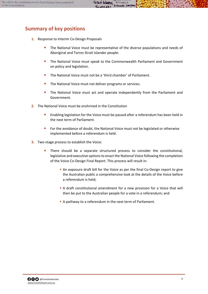# <span id="page-3-0"></span>**Summary of key positions**

- **1.** Response to Interim Co-Design Proposals
	- **The National Voice must be representative of the diverse populations and needs of** Aboriginal and Torres Strait Islander people:
	- The National Voice must speak to the Commonwealth Parliament and Government on policy and legislation.
	- **The National Voice must not be a 'third chamber' of Parliament.**
	- The National Voice must not deliver programs or services.
	- The National Voice must act and operate independently from the Parliament and Government.
- **2.** The National Voice must be enshrined in the Constitution
	- Enabling legislation for the Voice must be passed after a referendum has been held in the next term of Parliament.
	- For the avoidance of doubt, the National Voice must not be legislated or otherwise implemented before a referendum is held.
- **3.** Two-stage process to establish the Voice:
	- There should be a separate structured process to consider the constitutional, legislative and executive options to enact the National Voice following the completion of the Voice Co-Design Final Report. This process will result in:
		- An exposure draft bill for the Voice as per the final Co-Design report to give the Australian public a comprehensive look at the details of the Voice before a referendum is held;
		- A draft constitutional amendment for a new provision for a Voice that will then be put to the Australian people for a vote in a referendum; and
		- A pathway to a referendum in the next term of Parliament.

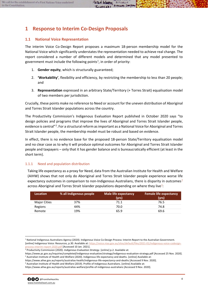# <span id="page-4-0"></span>**1 Response to Interim Co-Design Proposals**

## <span id="page-4-1"></span>**1.1 National Voice Representation**

The interim Voice Co-Design Report proposes a maximum 18-person membership model for the National Voice which significantly understates the representation needed to achieve real change. The report considered a number of different models and determined that any model presented to government must include the following points<sup>[1](#page-4-3)</sup>, in order of priority:

- 1. **Gender equity**, which is structurally guaranteed;
- 2. **'Workability'**, flexibility and efficiency, by restricting the membership to less than 20 people; and
- 3. **Representation** expressed in an arbitrary State/Territory (+ Torres Strait) equalisation model of two members per jurisdiction.

Crucially, these points make no reference to Need or account for the uneven distribution of Aboriginal and Torres Strait Islander populations across the country.

The Productivity Commission's Indigenous Evaluation Report published in October 2020 says "to design policies and programs that improve the lives of Aboriginal and Torres Strait Islander people, evidence is central"<sup>[2](#page-4-4)</sup>. For a structural reform as important as a National Voice for Aboriginal and Torres Strait Islander people, the membership model must be robust and based on evidence.

In effect, there is no evidence base for the proposed 18-person State/Territory equalisation model and no clear case as to why it will produce optimal outcomes for Aboriginal and Torres Strait Islander people and taxpayers – only that it has gender balance and is bureaucratically efficient (at least in the short term).

## <span id="page-4-2"></span>1.1.1 Need and population distribution

Taking life expectancy as a proxy for Need, data from the Australian Institute for Health and Welfare (AIHW) shows that not only do Aboriginal and Torres Strait Islander people experience worse life expectancy outcomes in comparison to non-Indigenous Australians, there is disparity in outcomes $3$ across Aboriginal and Torres Strait Islander populations depending on where they live $4$ :

| <b>Location</b> | % all Indigenous people | Male life expectancy<br>(yrs) | <b>Female life expectancy</b><br>(yrs) |
|-----------------|-------------------------|-------------------------------|----------------------------------------|
| Major Cities    | 37%                     | 71.1                          | 76.5                                   |
| Regions         | 44%                     | 70.0                          | 74.8                                   |
| Remote          | 19%                     | 65.9                          | 69.6                                   |

https://www.aihw.gov.au/reports/australias-welfare/profile-of-indigenous-australians [Accessed 9 Nov. 2020].



<span id="page-4-3"></span><sup>1</sup> National Indigenous Australians Agency (2020). Indigenous Voice Co-Design Process: Interim Report to the Australian Government. [online] Indigenous Voice: Resources, p.30. Available at[: https://voice.niaa.gov.au/sites/default/files/2021-01/indigenous-voice-codesign](https://voice.niaa.gov.au/sites/default/files/2021-01/indigenous-voice-codesign-process-interim-report-2020.pdf)[process-interim-report-2020.pdf](https://voice.niaa.gov.au/sites/default/files/2021-01/indigenous-voice-codesign-process-interim-report-2020.pdf) [Accessed 10 Jan. 2021].

<sup>2</sup> Productivity Commission (2020). *Indigenous Evaluation Strategy*. [online] p.2. Available at:

<span id="page-4-5"></span><span id="page-4-4"></span>https://www.pc.gov.au/inquiries/completed/indigenous-evaluation/strategy/indigenous-evaluation-strategy.pdf [Accessed 25 Nov. 2020]. <sup>3</sup> Australian Institute of Health and Welfare (2020). Indigenous life expectancy and deaths. [online] Available at:

<span id="page-4-6"></span>https://www.aihw.gov.au/reports/australias-health/indigenous-life-expectancy-and-deaths [Accessed 9 Nov. 2020].

<sup>4</sup> Australian Institute of Health and Welfare (2019). Profile of Indigenous Australians. [online] Available at: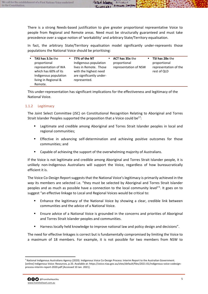There is a strong Needs-based justification to give greater proportional representative Voice to people from Regional and Remote areas. Need must be structurally guaranteed and must take precedence over a vague notion of 'workability' and arbitrary State/Territory equalisation.

 $10K$ 

**BUTCHELLA** 

In fact, the arbitrary State/Territory equalisation model significantly under-represents those populations the National Voice should be prioritising:

| <b>TAS has 3.5x the</b> | " 77% of the NT          | <b>ACT has 35x the</b> | <b>TSI has 28x the</b> |
|-------------------------|--------------------------|------------------------|------------------------|
| proportional            | Indigenous population    | proportional           | proportional           |
| representation of WA    | lives in Remote. Those   | representation of NSW  | representation of the  |
| which has 60% of its    | with the highest need    |                        | rest of QLD            |
| Indigenous population   | are significantly under- |                        |                        |
| living in Regional &    | represented.             |                        |                        |
| Remote.                 |                          |                        |                        |

This under-representation has significant implications for the effectiveness and legitimacy of the National Voice.

### <span id="page-5-0"></span>1.1.2 Legitimacy

The Joint Select Committee (JSC) on Constitutional Recognition Relating to Aboriginal and Torres Strait Islander Peoples supported the proposition that a Voice could be $17$ :

- **EXECT** Legitimate and credible among Aboriginal and Torres Strait Islander peoples in local and regional communities;
- **Effective in advancing self-determination and achieving positive outcomes for those** communities; and
- Capable of achieving the support of the overwhelming majority of Australians.

If the Voice is not legitimate and credible among Aboriginal and Torres Strait Islander people, it is unlikely non-Indigenous Australians will support the Voice, regardless of how bureaucratically efficient it is.

The Voice Co-Design Report suggests that the National Voice's legitimacy is primarily achieved in the *way* its members are selected i.e. "they must be selected by Aboriginal and Torres Strait Islander peoples and as much as possible have a connection to the local community level"<sup>[5](#page-5-1)</sup>. It goes on to suggest "an effective linkage to Local and Regional Voices would be critical to:

- Enhance the legitimacy of the National Voice by showing a clear, credible link between communities and the advice of a National Voice.
- Ensure advice of a National Voice is grounded in the concerns and priorities of Aboriginal and Torres Strait Islander peoples and communities.
- Harness locally held knowledge to improve national law and policy design and decisions".

The need for effective linkages is correct but is fundamentally compromised by limiting the Voice to a maximum of 18 members. For example, it is not possible for two members from NSW to

<span id="page-5-1"></span><sup>5</sup> National Indigenous Australians Agency (2020). Indigenous Voice Co-Design Process: Interim Report to the Australian Government. [online] Indigenous Voice: Resources, p.33. Available at: https://voice.niaa.gov.au/sites/default/files/2021-01/indigenous-voice-codesignprocess-interim-report-2020.pdf [Accessed 10 Jan. 2021].

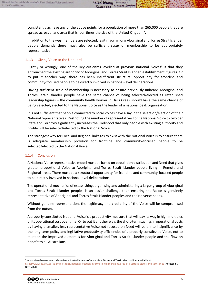$LUDCKKI$ 

...

**BUTCHELLA** 

**RICHARD SMIPS** 

In addition to the *way* members are selected, legitimacy among Aboriginal and Torres Strait Islander people demands there must also be sufficient *scale* of membership to be appropriately representative.

## <span id="page-6-0"></span>1.1.3 Giving Voice to the Unheard

Rightly or wrongly, one of the key criticisms levelled at previous national 'voices' is that they entrenched the existing authority of Aboriginal and Torres Strait Islander 'establishment' figures. Or to put it another way, there has been insufficient structural opportunity for frontline and community-focused people to be directly involved in national-level deliberations.

Having sufficient scale of membership is necessary to ensure previously unheard Aboriginal and Torres Strait Islander people have the same chance of being selected/elected as established leadership figures – the community health worker in Halls Creek should have the same chance of being selected/elected to the National Voice as the leader of a national peak organisation.

It is not sufficient that people connected to Local Voices have a say in the selection/election of their National representatives. Restricting the number of representatives to the National Voice to two per State and Territory significantly increases the likelihood that only people with existing authority and profile will be selected/elected to the National Voice.

The strongest way for Local and Regional linkages to exist with the National Voice is to ensure there is adequate membership provision for frontline and community-focused people to be selected/elected to the National Voice.

#### <span id="page-6-1"></span>1.1.4 Conclusion

A National Voice representative model must be based on population distribution and Need that gives greater proportional Voice to Aboriginal and Torres Strait Islander people living in Remote and Regional areas. There must be a structural opportunity for frontline and community-focused people to be directly involved in national-level deliberations.

The operational mechanics of establishing, organising and administering a larger group of Aboriginal and Torres Strait Islander peoples is an easier challenge than ensuring the Voice is genuinely representative of Aboriginal and Torres Strait Islander peoples and their diverse needs.

Without genuine representation, the legitimacy and credibility of the Voice will be compromised from the outset.

A properly constituted National Voice is a productivity measure that will pay its way in high multiples of its operational cost over time. Or to put it another way, the short-term savings in operational costs by having a smaller, less representative Voice not focused on Need will pale into insignificance by the long-term policy and legislative productivity efficiencies of a properly constituted Voice, not to mention the improved outcomes for Aboriginal and Torres Strait Islander people and the flow-on benefit to all Australians.

Nov. 2020].



<span id="page-6-2"></span><sup>6</sup> Australian Government | Geoscience Australia. Area of Australia – States and Territories. [online] Available at: <https://www.ga.gov.au/scientific-topics/national-location-information/dimensions/area-of-australia-states-and-territories> [Accessed 9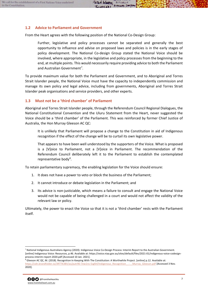<span id="page-7-0"></span>From the Heart agrees with the following position of the National Co-Design Group:

Further, legislative and policy processes cannot be separated and generally the best opportunity to influence and advise on proposed laws and policies is in the early stages of policy development. The National Co-design Group stated the National Voice should be involved, where appropriate, in the legislative and policy processes from the beginning to the end, at multiple points. This would necessarily require providing advice to both the Parliament and Australian Government<sup>[7](#page-7-2)</sup>.

To provide maximum value for both the Parliament and Government, and to Aboriginal and Torres Strait Islander people, the National Voice must have the capacity to independently commission and manage its own policy and legal advice, including from governments, Aboriginal and Torres Strait Islander peak organisations and service providers, and other experts.

Peter WINDK

 $LUDCKKI$ 

. .

**BUTCHELLA** 

RICHARD SM PS

## <span id="page-7-1"></span>**1.3 Must not be a 'third chamber' of Parliament**

Aboriginal and Torres Strait Islander people, through the Referendum Council Regional Dialogues, the National Constitutional Convention and the Uluru Statement from the Heart, never suggested the Voice should be a 'third chamber' of the Parliament. This was reinforced by former Chief Justice of Australia, the Hon Murray Gleeson AC QC:

It is unlikely that Parliament will propose a change to the Constitution in aid of Indigenous recognition if the effect of the change will be to curtail its own legislative power.

That appears to have been well understood by the supporters of the Voice. What is proposed is a [V]oice to Parliament, not a [V]oice in Parliament. The recommendation of the Referendum Council deliberately left it to the Parliament to establish the contemplated representative body<sup>[8](#page-7-3)</sup>.

To retain parliamentary supremacy, the enabling legislation for the Voice should ensure:

- 1. It does not have a power to veto or block the business of the Parliament;
- 2. It cannot introduce or debate legislation in the Parliament; and
- 3. Its advice is non-justiciable, which means a failure to consult and engage the National Voice would not be capable of being challenged in a court and would not affect the validity of the relevant law or policy.

Ultimately, the power to enact the Voice so that it is not a 'third chamber' rests with the Parliament itself.

<span id="page-7-3"></span><sup>&</sup>lt;sup>8</sup> Gleeson AC QC, M. (2018). Recognition In Keeping With The Constitution: A Worthwhile Project. [online] p.12. Available at: https://cdn.brandfolder.io/3RTTK3BV/as/putr90-7ew1ns-5sgfef/Indigenous\_Recognition\_\_-\_Murray\_Gleeson.pdf [Accessed 3 Nov. 2020].



<span id="page-7-2"></span><sup>7</sup> National Indigenous Australians Agency (2020). Indigenous Voice Co-Design Process: Interim Report to the Australian Government. [online] Indigenous Voice: Resources, p.46. Available at: https://voice.niaa.gov.au/sites/default/files/2021-01/indigenous-voice-codesignprocess-interim-report-2020.pdf [Accessed 10 Jan. 2021].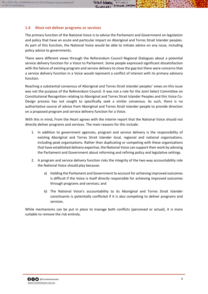## <span id="page-8-0"></span>**1.4 Must not deliver programs or services**

The primary function of the National Voice is to advise the Parliament and Government on legislation and policy that have an acute and particular impact on Aboriginal and Torres Strait Islander peoples. As part of this function, the National Voice would be able to initiate advice on any issue, including policy advice to governments.

There were different views through the Referendum Council Regional Dialogues about a potential service delivery function for a Voice to Parliament. Some people expressed significant dissatisfaction with the failure of existing program and service delivery to close the gap but there were concerns that a service delivery function in a Voice would represent a conflict of interest with its primary advisory function.

Reaching a substantial consensus of Aboriginal and Torres Strait Islander peoples' views on this issue was not the purpose of the Referendum Council. It was not a role for the Joint Select Committee on Constitutional Recognition relating to Aboriginal and Torres Strait Islander Peoples and this Voice Co-Design process has not sought to specifically seek a similar consensus. As such, there is no authoritative source of advice from Aboriginal and Torres Strait Islander people to provide direction on a proposed program and service delivery function for a Voice.

With this in mind, From the Heart agrees with the interim report that the National Voice should not directly deliver programs and services. The main reasons for this include:

- 1. In addition to government agencies, program and service delivery is the responsibility of existing Aboriginal and Torres Strait Islander local, regional and national organisations, including peak organisations. Rather than duplicating or competing with these organisations that have established delivery expertise, the National Voice can support their work by advising the Parliament and Government about reforming and refining policy and legislative settings.
- 2. A program and service delivery function risks the integrity of the two-way accountability role the National Voice should play because:
	- a) Holding the Parliament and Government to account for achieving improved outcomes is difficult if the Voice is itself directly responsible for achieving improved outcomes through programs and services; and
	- b) The National Voice's accountability to its Aboriginal and Torres Strait Islander constituents is potentially conflicted if it is also competing to deliver programs and services.

While mechanisms can be put in place to manage both conflicts (perceived or actual), it is more suitable to remove the risk entirely.

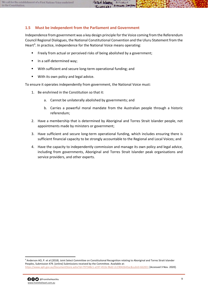<span id="page-9-0"></span>Independence from government was a key design principle for the Voice coming from the Referendum Council Regional Dialogues, the National Constitutional Convention and the Uluru Statement from the Heart<sup>[9](#page-9-1)</sup>. In practice, independence for the National Voice means operating:

 $\frac{10}{5}$ 

**BUTCHELLA** 

RICHARD SMIPS

- **Filter** Freely from actual or perceived risks of being abolished by a government;
- In a self-determined way;
- With sufficient and secure long-term operational funding; and
- **With its own policy and legal advice.**

To ensure it operates independently from government, the National Voice must:

- 1. Be enshrined in the Constitution so that it:
	- a. Cannot be unilaterally abolished by governments; and
	- b. Carries a powerful moral mandate from the Australian people through a historic referendum;
- 2. Have a membership that is determined by Aboriginal and Torres Strait Islander people, not appointments made by ministers or government;
- 3. Have sufficient and secure long-term operational funding, which includes ensuring there is sufficient financial capacity to be strongly accountable to the Regional and Local Voices; and
- 4. Have the capacity to independently commission and manage its own policy and legal advice, including from governments, Aboriginal and Torres Strait Islander peak organisations and service providers, and other experts.

<span id="page-9-1"></span><sup>&</sup>lt;sup>9</sup> Anderson AO, P. et al (2018). Joint Select Committee on Constitutional Recognition relating to Aboriginal and Torres Strait Islander Peoples, Submission 479. [online] Submissions received by the Committee. Available at: <https://www.aph.gov.au/DocumentStore.ashx?id=797348c1-a197-451b-96d2-2c19042643ac&subId=662831> [Accessed 3 Nov. 2020].

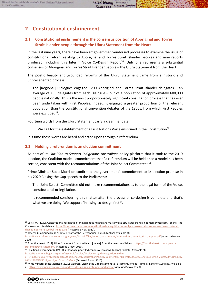# <span id="page-10-0"></span>**2 Constitutional enshrinement**

## <span id="page-10-1"></span>**2.1 Constitutional enshrinement is the consensus position of Aboriginal and Torres Strait Islander people through the Uluru Statement from the Heart**

In the last nine years, there have been six government-endorsed processes to examine the issue of constitutional reform relating to Aboriginal and Torres Strait Islander peoples and nine reports produced, including this Interim Voice Co-Design Report<sup>[10](#page-10-3)</sup>. Only one represents a substantial consensus of Aboriginal and Torres Strait Islander people – the Uluru Statement from the Heart.

The poetic beauty and grounded reforms of the Uluru Statement came from a historic and unprecedented process:

The [Regional] Dialogues engaged 1200 Aboriginal and Torres Strait Islander delegates – an average of 100 delegates from each Dialogue – out of a population of approximately 600,000 people nationally. This is the most proportionately significant consultation process that has ever been undertaken with First Peoples. Indeed, it engaged a greater proportion of the relevant population than the constitutional convention debates of the 1800s, from which First Peoples were excluded $11$ .

Fourteen words from the Uluru Statement carry a clear mandate:

We call for the establishment of a First Nations Voice enshrined in the Constitution<sup>12</sup>.

It is time these words are heard and acted upon through a referendum.

## <span id="page-10-2"></span>**2.2 Holding a referendum is an election commitment**

As part of its *Our Plan to Support Indigenous Australians* policy platform that it took to the 2019 election, the Coalition made a commitment that "a referendum will be held once a model has been settled, consistent with the recommendations of the Joint Select Committee"[13](#page-10-6).

Prime Minister Scott Morrison confirmed the government's commitment to its election promise in his 2020 Closing the Gap speech to the Parliament:

The [Joint Select] Committee did not make recommendations as to the legal form of the Voice, constitutional or legislation.

<span id="page-10-8"></span>It recommended considering this matter after the process of co-design is complete and that's what we are doing. We support finalising co-design first  $14$ .

 $11$  Referendum Council (2017). Final Report of the Referendum Council. [online] Available at:

[https://parlinfo.aph.gov.au/parlInfo/search/display/display.w3p;adv=yes;orderBy=date-](https://parlinfo.aph.gov.au/parlInfo/search/display/display.w3p;adv=yes;orderBy=date-eFirst;page=0;query=%22support%20indigenous%20australians%22%20Content%3ALiberal%20Date%3A01%2F05%2F2019%20%3E%3E%2031%2F07%2F2019;rec=1;resCount=Default)

<span id="page-10-7"></span><sup>&</sup>lt;sup>14</sup> Prime Minister Scott Morrison (2020). Address, Closing the Gap Statement to Parliament. [online] Prime Minister of Australia. Available at[: https://www.pm.gov.au/media/address-closing-gap-statement-parliament](https://www.pm.gov.au/media/address-closing-gap-statement-parliament) [Accessed 5 Nov. 2020].



<span id="page-10-3"></span><sup>&</sup>lt;sup>10</sup> Davis, M. (2020). Constitutional recognition for Indigenous Australians must involve structural change, not mere symbolism. [online] The Conversation. Available at[: https://theconversation.com/constitutional-recognition-for-indigenous-australians-must-involve-structural](https://theconversation.com/constitutional-recognition-for-indigenous-australians-must-involve-structural-change-not-mere-symbolism-131751)[change-not-mere-symbolism-131751](https://theconversation.com/constitutional-recognition-for-indigenous-australians-must-involve-structural-change-not-mere-symbolism-131751) [Accessed 6 Nov. 2020].

<span id="page-10-4"></span>[https://www.referendumcouncil.org.au/sites/default/files/report\\_attachments/Referendum\\_Council\\_Final\\_Report.pdf](https://www.referendumcouncil.org.au/sites/default/files/report_attachments/Referendum_Council_Final_Report.pdf) [Accessed 9 Nov. 2020].

<span id="page-10-5"></span><sup>&</sup>lt;sup>12</sup> From the Heart (2017). Uluru Statement from the Heart. [online] From the Heart. Available at[: https://fromtheheart.com.au/uluru](https://fromtheheart.com.au/uluru-statement/the-statement/)[statement/the-statement/](https://fromtheheart.com.au/uluru-statement/the-statement/) [Accessed 9 Nov. 2020].

<span id="page-10-6"></span><sup>&</sup>lt;sup>13</sup> Coalition Government (2019). Our Plan to Support Indigenous Australians. [online] ParlInfo. Available at:

[eFirst;page=0;query=%22support%20indigenous%20australians%22%20Content%3ALiberal%20Date%3A01%2F05%2F2019%20%3E%3E%2](https://parlinfo.aph.gov.au/parlInfo/search/display/display.w3p;adv=yes;orderBy=date-eFirst;page=0;query=%22support%20indigenous%20australians%22%20Content%3ALiberal%20Date%3A01%2F05%2F2019%20%3E%3E%2031%2F07%2F2019;rec=1;resCount=Default) [031%2F07%2F2019;rec=1;resCount=Default](https://parlinfo.aph.gov.au/parlInfo/search/display/display.w3p;adv=yes;orderBy=date-eFirst;page=0;query=%22support%20indigenous%20australians%22%20Content%3ALiberal%20Date%3A01%2F05%2F2019%20%3E%3E%2031%2F07%2F2019;rec=1;resCount=Default) [Accessed 5 Nov. 2020].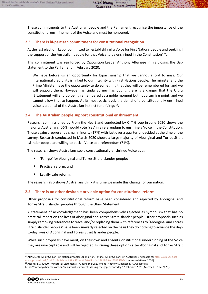TypoChk1

...

**BUTCHELLA** 

RICHARD SMIPS

## <span id="page-11-0"></span>**2.3 There is bi-partisan commitment for constitutional recognition**

At the last election, Labor committed to "establish[ing] a Voice for First Nations people and seek[ing] the support of the Australian people for that Voice to be enshrined in the Constitution"**[15](#page-11-3)**.

This commitment was reinforced by Opposition Leader Anthony Albanese in his Closing the Gap statement to the Parliament in February 2020:

We have before us an opportunity for bipartisanship that we cannot afford to miss. Our international credibility is linked to our integrity with First Nations people. The minister and the Prime Minister have the opportunity to do something that they will be remembered for, and we will support them. However, as Linda Burney has put it, there is a danger that the Uluru [S]tatement will end up being remembered as a noble moment but not a turning point, and we cannot allow that to happen. At its most basic level, the denial of a constitutionally enshrined voice is a denial of the Australian instinct for a fair go**[16](#page-11-4)**.

## <span id="page-11-1"></span>**2.4 The Australian people support constitutional enshrinement**

Research commissioned by From the Heart and conducted by C|T Group in June 2020 shows the majority Australians (56%) would vote 'Yes' in a referendum to enshrine a Voice in the Constitution. Those against represent a small minority (17%) with just over a quarter undecided at the time of the survey. Research conducted in March 2020 shows a large majority of Aboriginal and Torres Strait Islander people are willing to back a Voice at a referendum (71%).

The research shows Australians see a constitutionally-enshrined Voice as a:

- 'Fair-go' for Aboriginal and Torres Strait Islander people;
- Practical reform; and
- Legally safe reform.

The research also shows Australians think it is time we made this change for our nation.

## <span id="page-11-2"></span>**2.5 There is no other desirable or viable option for constitutional reform**

Other proposals for constitutional reform have been considered and rejected by Aboriginal and Torres Strait Islander peoples through the Uluru Statement.

A statement of acknowledgement has been comprehensively rejected as symbolism that has no practical impact on the lives of Aboriginal and Torres Strait Islander people. Other proposals such as simply removing references to 'race' and/or replacing them with references to 'Aboriginal and Torres Strait Islander peoples' have been similarly rejected on the basis they do nothing to advance the dayto-day lives of Aboriginal and Torres Strait Islander people.

While such proposals have merit, on their own and absent Constitutional underpinning of the Voice they are unacceptable and will be rejected. Pursuing these options after Aboriginal and Torres Strait

https://anthonyalbanese.com.au/ministerial-statements-closing-the-gap-wednesday-12-february-2020 [Accessed 6 Nov. 2020].



<span id="page-11-3"></span><sup>&</sup>lt;sup>15</sup> ALP (2019). A Fair Go For First Nations People: Labor's Plan. [online] A Fair Go For First Australians. Available at[: https://alp.us12.list](https://alp.us12.list-manage.com/track/click?u=942ebc4c1cf8fc522a4f4c50e&id=fb4238db7c&e=551552b6c2)[manage.com/track/click?u=942ebc4c1cf8fc522a4f4c50e&id=fb4238db7c&e=551552b6c2](https://alp.us12.list-manage.com/track/click?u=942ebc4c1cf8fc522a4f4c50e&id=fb4238db7c&e=551552b6c2) [Accessed 6 Nov. 2020].

<span id="page-11-4"></span><sup>&</sup>lt;sup>16</sup> Albanese, A. (2020). Ministerial Statements – Closing the Gap. [online] Anthony Albanese MP. Available at: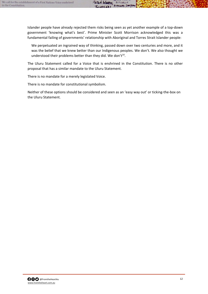Islander people have already rejected them risks being seen as yet another example of a top-down government 'knowing what's best'. Prime Minister Scott Morrison acknowledged this was a fundamental failing of governments' relationship with Aboriginal and Torres Strait Islander people:

Petal WINDIC

THOPCHKI

**BUTCHELLA** 

RICHARD SMPS

We perpetuated an ingrained way of thinking, passed down over two centuries and more, and it was the belief that we knew better than our Indigenous peoples. We don't. We also thought we understood their problems better than they did. We don't<sup>14</sup>.

The Uluru Statement called for a Voice that is enshrined in the Constitution. There is no other proposal that has a similar mandate to the Uluru Statement.

There is no mandate for a merely legislated Voice.

There is no mandate for constitutional symbolism.

Neither of these options should be considered and seen as an 'easy way out' or ticking-the-box on the Uluru Statement.

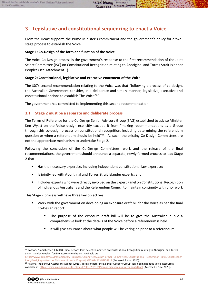<span id="page-13-0"></span>From the Heart supports the Prime Minister's commitment and the government's policy for a twostage process to establish the Voice.

Peter WINDK

...

**BUTCHELLA** 

**RICHARD SMIPS** 

#### **Stage 1: Co-Design of the form and function of the Voice**

The Voice Co-Design process is the government's response to the first recommendation of the Joint Select Committee (JSC) on Constitutional Recognition relating to Aboriginal and Torres Strait Islander Peoples (see Attachment 1).

#### **Stage 2: Constitutional, legislative and executive enactment of the Voice**

The JSC's second recommendation relating to the Voice was that "following a process of co-design, the Australian Government consider, in a deliberate and timely manner, legislative, executive and constitutional options to establish The Voice"<sup>17</sup>.

<span id="page-13-2"></span>The government has committed to implementing this second recommendation.

## <span id="page-13-1"></span>**3.1 Stage 2 must be a separate and deliberate process**

The Terms of Reference for the Co-Design Senior Advisory Group (SAG) established to advise Minister Ken Wyatt on the Voice design explicitly exclude it from "making recommendations as a Group through this co-design process on constitutional recognition, including determining the referendum question or when a referendum should be held"<sup>18</sup>. As such, the existing Co-Design Committees are not the appropriate mechanism to undertake Stage 2.

Following the conclusion of the Co-Design Committees' work and the release of the final recommendations, the government should announce a separate, newly formed process to lead Stage 2 that:

- Has the necessary expertise, including independent constitutional law expertise;
- Is jointly led with Aboriginal and Torres Strait Islander experts; and
- Includes experts who were directly involved on the Expert Panel on Constitutional Recognition of Indigenous Australians and the Referendum Council to maintain continuity with prior work

This Stage 2 process will have three key objectives:

- Work with the government on developing an exposure draft bill for the Voice as per the final Co-Design report:
	- The purpose of the exposure draft bill will be to give the Australian public a comprehensive look at the details of the Voice before a referendum is held
	- It will give assurance about what people will be voting on prior to a referendum

<span id="page-13-4"></span><sup>18</sup> National Indigenous Australians Agency (2019). Terms of Reference, Senior Advisory Group. [online] Indigenous Voice: Resources. Available at[: https://voice.niaa.gov.au/sites/default/files/2020-09/senior-advisory-group-tor-sept20.pdf](https://voice.niaa.gov.au/sites/default/files/2020-09/senior-advisory-group-tor-sept20.pdf) [Accessed 5 Nov. 2020].



<span id="page-13-3"></span><sup>&</sup>lt;sup>17</sup> Dodson, P. and Leeser, J. (2018). Final Report, Joint Select Committee on Constitutional Recognition relating to Aboriginal and Torres Strait Islander Peoples. [online] Recommendations. Available at:

[https://www.aph.gov.au/Parliamentary\\_Business/Committees/Joint/Former\\_Committees/Constitutional\\_Recognition\\_2018/ConstRecogn](https://www.aph.gov.au/Parliamentary_Business/Committees/Joint/Former_Committees/Constitutional_Recognition_2018/ConstRecognition/Final_Report/section?id=committees%2freportjnt%2f024213%2f26813) [ition/Final\\_Report/section?id=committees%2freportjnt%2f024213%2f26813](https://www.aph.gov.au/Parliamentary_Business/Committees/Joint/Former_Committees/Constitutional_Recognition_2018/ConstRecognition/Final_Report/section?id=committees%2freportjnt%2f024213%2f26813) [Accessed 5 Nov. 2020].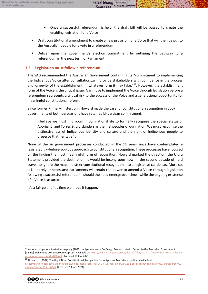Once a successful referendum is held, the draft bill will be passed to create the enabling legislation for a Voice

...

**BUTCHELLA** 

**RICHARD SMIPS** 

 Draft constitutional amendment to create a new provision for a Voice that will then be put to the Australian people for a vote in a referendum

Peter WINDK

 Deliver upon the government's election commitment by outlining the pathway to a referendum in the next term of Parliament.

#### <span id="page-14-0"></span>**3.2 Legislation must follow a referendum**

The SAG recommended the Australian Government confirming its "commitment to implementing the Indigenous Voice after consultation…will provide stakeholders with confidence in the process and longevity of the establishment, in whatever form it may take."<sup>19</sup>. However, the establishment form of the Voice is the critical issue. Any move to implement the Voice through legislation before a referendum represents a critical risk to the success of the Voice and a generational opportunity for meaningful constitutional reform.

Since former Prime Minister John Howard made the case for constitutional recognition in 2007, governments of both persuasions have retained bi-partisan commitment:

I believe we must find room in our national life to formally recognise the special status of Aboriginal and Torres Strait Islanders as the first peoples of our nation. We must recognise the distinctiveness of Indigenous identity and culture and the right of Indigenous people to preserve that heritage<sup>20</sup>.

None of the six government processes conducted in the 14 years since have contemplated a legislated try-before-you-buy approach to constitutional recognition. These processes have focused on the finding the most meaningful form of recognition. Howard marked the direction; the Uluru Statement provided the destination. It would be incongruous now, in the second decade of hard travel, to ignore the map and steer constitutional recognition into a legislative cul-de-sac. More so, it is entirely unnecessary; parliaments will retain the power to amend a Voice through legislation following a successful referendum - should the need emerge over time - while the ongoing existence of a Voice is assured.

It's a fair go and it's time we made it happen.

<span id="page-14-2"></span><sup>&</sup>lt;sup>20</sup> Howard, J. (2007). The Right Time: Constitutional Recognition for Indigenous Australians. [online] Available at: [https://parlinfo.aph.gov.au/parlInfo/download/media/pressrel/L41P6/upload\\_binary/l41p62.pdf;fileType=application%2Fpdf#search=%2](https://parlinfo.aph.gov.au/parlInfo/download/media/pressrel/L41P6/upload_binary/l41p62.pdf;fileType=application%2Fpdf#search=%22media/pressrel/L41P6%22) [2media/pressrel/L41P6%22](https://parlinfo.aph.gov.au/parlInfo/download/media/pressrel/L41P6/upload_binary/l41p62.pdf;fileType=application%2Fpdf#search=%22media/pressrel/L41P6%22) [Accessed 19 Jan. 2021].



<span id="page-14-1"></span><sup>&</sup>lt;sup>19</sup> National Indigenous Australians Agency (2020). Indigenous Voice Co-Design Process: Interim Report to the Australian Government. [online] Indigenous Voice: Resources, p.158. Available at[: https://voice.niaa.gov.au/sites/default/files/2021-01/indigenous-voice-codesign](https://voice.niaa.gov.au/sites/default/files/2021-01/indigenous-voice-codesign-process-interim-report-2020.pdf)[process-interim-report-2020.pdf](https://voice.niaa.gov.au/sites/default/files/2021-01/indigenous-voice-codesign-process-interim-report-2020.pdf) [Accessed 10 Jan. 2021].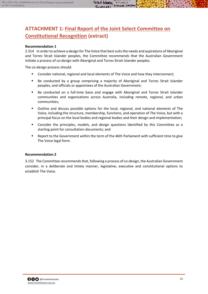#### <span id="page-15-0"></span>**Recommendation 1**

2.314 In order to achieve a design for The Voice that best suits the needs and aspirations of Aboriginal and Torres Strait Islander peoples, the Committee recommends that the Australian Government initiate a process of co-design with Aboriginal and Torres Strait Islander peoples.

...

**BUTCHELLA** 

**RICHARD SMIPS** 

The co-design process should:

- Consider national, regional and local elements of The Voice and how they interconnect;
- Be conducted by a group comprising a majority of Aboriginal and Torres Strait Islander peoples, and officials or appointees of the Australian Government;
- **Be conducted on a full-time basis and engage with Aboriginal and Torres Strait Islander** communities and organisations across Australia, including remote, regional, and urban communities;
- Outline and discuss possible options for the local, regional, and national elements of The Voice, including the structure, membership, functions, and operation of The Voice, but with a principal focus on the local bodies and regional bodies and their design and implementation;
- Consider the principles, models, and design questions identified by this Committee as a starting point for consultation documents; and
- Report to the Government within the term of the 46th Parliament with sufficient time to give The Voice legal form.

#### **Recommendation 2**

3.152 The Committee recommends that, following a process of co-design, the Australian Government consider, in a deliberate and timely manner, legislative, executive and constitutional options to establish The Voice.

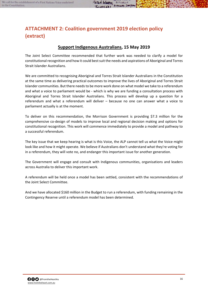<span id="page-16-0"></span>**(extract)**

## **[Support Indigenous Australians,](https://parlinfo.aph.gov.au/parlInfo/download/library/partypol/6725182/upload_binary/6725182.pdf;fileType=application%2Fpdf#search=%22support%20indigenous%20australians%20Liberal%22) 15 May 2019**

Petak WINDK

. .

**BUTCHELLA** 

**RICHARD SMIPS** 

The Joint Select Committee recommended that further work was needed to clarify a model for constitutional recognition and how it could best suit the needs and aspirations of Aboriginal and Torres Strait Islander Australians.

We are committed to recognising Aboriginal and Torres Strait Islander Australians in the Constitution at the same time as delivering practical outcomes to improve the lives of Aboriginal and Torres Strait Islander communities. But there needs to be more work done on what model we take to a referendum and what a voice to parliament would be - which is why we are funding a consultation process with Aboriginal and Torres Strait Islander Australians. This process will develop up a question for a referendum and what a referendum will deliver – because no one can answer what a voice to parliament actually is at the moment.

To deliver on this recommendation, the Morrison Government is providing \$7.3 million for the comprehensive co-design of models to improve local and regional decision making and options for constitutional recognition. This work will commence immediately to provide a model and pathway to a successful referendum.

The key issue that we keep hearing is what is this Voice, the ALP cannot tell us what the Voice might look like and how it might operate. We believe if Australians don't understand what they're voting for in a referendum, they will vote no, and endanger this important issue for another generation.

The Government will engage and consult with Indigenous communities, organisations and leaders across Australia to deliver this important work.

A referendum will be held once a model has been settled, consistent with the recommendations of the Joint Select Committee.

And we have allocated \$160 million in the Budget to run a referendum, with funding remaining in the Contingency Reserve until a referendum model has been determined.